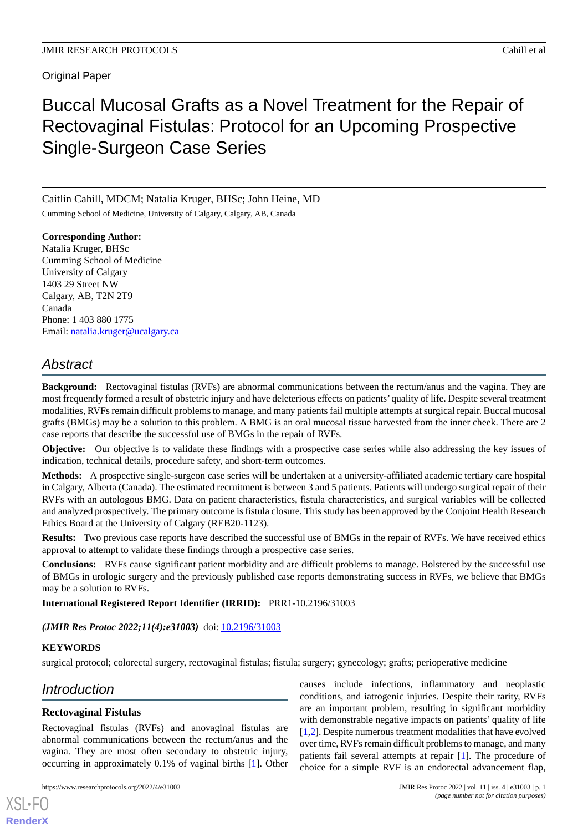# Buccal Mucosal Grafts as a Novel Treatment for the Repair of Rectovaginal Fistulas: Protocol for an Upcoming Prospective Single-Surgeon Case Series

## Caitlin Cahill, MDCM; Natalia Kruger, BHSc; John Heine, MD

Cumming School of Medicine, University of Calgary, Calgary, AB, Canada

**Corresponding Author:** Natalia Kruger, BHSc Cumming School of Medicine University of Calgary 1403 29 Street NW Calgary, AB, T2N 2T9 Canada Phone: 1 403 880 1775 Email: [natalia.kruger@ucalgary.ca](mailto:natalia.kruger@ucalgary.ca)

## *Abstract*

**Background:** Rectovaginal fistulas (RVFs) are abnormal communications between the rectum/anus and the vagina. They are most frequently formed a result of obstetric injury and have deleterious effects on patients'quality of life. Despite several treatment modalities, RVFs remain difficult problems to manage, and many patients fail multiple attempts at surgical repair. Buccal mucosal grafts (BMGs) may be a solution to this problem. A BMG is an oral mucosal tissue harvested from the inner cheek. There are 2 case reports that describe the successful use of BMGs in the repair of RVFs.

**Objective:** Our objective is to validate these findings with a prospective case series while also addressing the key issues of indication, technical details, procedure safety, and short-term outcomes.

**Methods:** A prospective single-surgeon case series will be undertaken at a university-affiliated academic tertiary care hospital in Calgary, Alberta (Canada). The estimated recruitment is between 3 and 5 patients. Patients will undergo surgical repair of their RVFs with an autologous BMG. Data on patient characteristics, fistula characteristics, and surgical variables will be collected and analyzed prospectively. The primary outcome is fistula closure. This study has been approved by the Conjoint Health Research Ethics Board at the University of Calgary (REB20-1123).

**Results:** Two previous case reports have described the successful use of BMGs in the repair of RVFs. We have received ethics approval to attempt to validate these findings through a prospective case series.

**Conclusions:** RVFs cause significant patient morbidity and are difficult problems to manage. Bolstered by the successful use of BMGs in urologic surgery and the previously published case reports demonstrating success in RVFs, we believe that BMGs may be a solution to RVFs.

**International Registered Report Identifier (IRRID):** PRR1-10.2196/31003

## (JMIR Res Protoc 2022;11(4):e31003) doi: [10.2196/31003](http://dx.doi.org/10.2196/31003)

## **KEYWORDS**

[XSL](http://www.w3.org/Style/XSL)•FO **[RenderX](http://www.renderx.com/)**

surgical protocol; colorectal surgery, rectovaginal fistulas; fistula; surgery; gynecology; grafts; perioperative medicine

## *Introduction*

## **Rectovaginal Fistulas**

Rectovaginal fistulas (RVFs) and anovaginal fistulas are abnormal communications between the rectum/anus and the vagina. They are most often secondary to obstetric injury, occurring in approximately 0.1% of vaginal births [[1\]](#page-3-0). Other

causes include infections, inflammatory and neoplastic conditions, and iatrogenic injuries. Despite their rarity, RVFs are an important problem, resulting in significant morbidity with demonstrable negative impacts on patients' quality of life [[1](#page-3-0)[,2\]](#page-3-1). Despite numerous treatment modalities that have evolved over time, RVFs remain difficult problems to manage, and many patients fail several attempts at repair [[1\]](#page-3-0). The procedure of choice for a simple RVF is an endorectal advancement flap,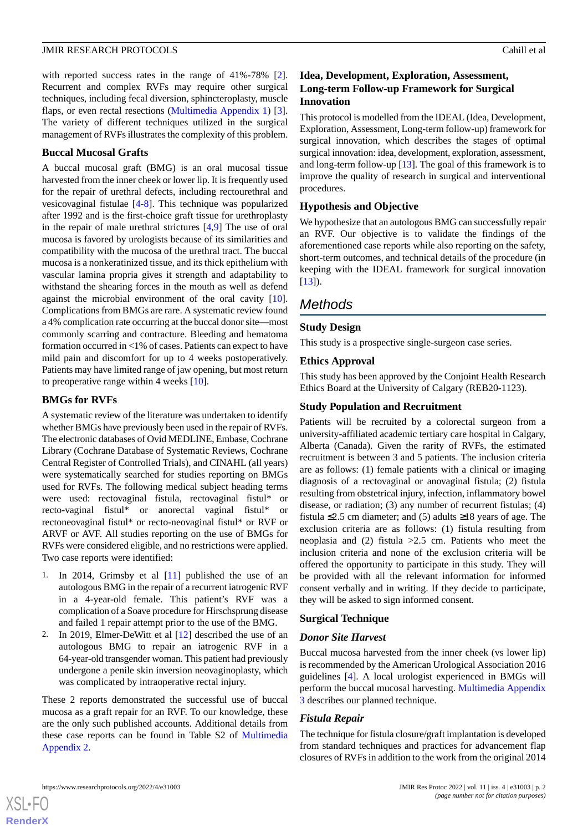with reported success rates in the range of 41%-78% [[2\]](#page-3-1). Recurrent and complex RVFs may require other surgical techniques, including fecal diversion, sphincteroplasty, muscle flaps, or even rectal resections [\(Multimedia Appendix 1\)](#page-3-2) [[3\]](#page-3-3). The variety of different techniques utilized in the surgical management of RVFs illustrates the complexity of this problem.

### **Buccal Mucosal Grafts**

A buccal mucosal graft (BMG) is an oral mucosal tissue harvested from the inner cheek or lower lip. It is frequently used for the repair of urethral defects, including rectourethral and vesicovaginal fistulae [\[4](#page-3-4)-[8\]](#page-3-5). This technique was popularized after 1992 and is the first-choice graft tissue for urethroplasty in the repair of male urethral strictures [\[4](#page-3-4),[9\]](#page-3-6) The use of oral mucosa is favored by urologists because of its similarities and compatibility with the mucosa of the urethral tract. The buccal mucosa is a nonkeratinized tissue, and its thick epithelium with vascular lamina propria gives it strength and adaptability to withstand the shearing forces in the mouth as well as defend against the microbial environment of the oral cavity [[10\]](#page-4-0). Complications from BMGs are rare. A systematic review found a 4% complication rate occurring at the buccal donor site—most commonly scarring and contracture. Bleeding and hematoma formation occurred in <1% of cases. Patients can expect to have mild pain and discomfort for up to 4 weeks postoperatively. Patients may have limited range of jaw opening, but most return to preoperative range within 4 weeks [[10\]](#page-4-0).

## **BMGs for RVFs**

A systematic review of the literature was undertaken to identify whether BMGs have previously been used in the repair of RVFs. The electronic databases of Ovid MEDLINE, Embase, Cochrane Library (Cochrane Database of Systematic Reviews, Cochrane Central Register of Controlled Trials), and CINAHL (all years) were systematically searched for studies reporting on BMGs used for RVFs. The following medical subject heading terms were used: rectovaginal fistula, rectovaginal fistul\* or recto-vaginal fistul\* or anorectal vaginal fistul\* or rectoneovaginal fistul\* or recto-neovaginal fistul\* or RVF or ARVF or AVF. All studies reporting on the use of BMGs for RVFs were considered eligible, and no restrictions were applied. Two case reports were identified:

- 1. In 2014, Grimsby et al [[11\]](#page-4-1) published the use of an autologous BMG in the repair of a recurrent iatrogenic RVF in a 4-year-old female. This patient's RVF was a complication of a Soave procedure for Hirschsprung disease and failed 1 repair attempt prior to the use of the BMG.
- 2. In 2019, Elmer-DeWitt et al [[12\]](#page-4-2) described the use of an autologous BMG to repair an iatrogenic RVF in a 64-year-old transgender woman. This patient had previously undergone a penile skin inversion neovaginoplasty, which was complicated by intraoperative rectal injury.

These 2 reports demonstrated the successful use of buccal mucosa as a graft repair for an RVF. To our knowledge, these are the only such published accounts. Additional details from these case reports can be found in Table S2 of [Multimedia](#page-3-7) [Appendix 2.](#page-3-7)

## **Idea, Development, Exploration, Assessment, Long-term Follow-up Framework for Surgical Innovation**

This protocol is modelled from the IDEAL (Idea, Development, Exploration, Assessment, Long-term follow-up) framework for surgical innovation, which describes the stages of optimal surgical innovation: idea, development, exploration, assessment, and long-term follow-up [\[13](#page-4-3)]. The goal of this framework is to improve the quality of research in surgical and interventional procedures.

## **Hypothesis and Objective**

We hypothesize that an autologous BMG can successfully repair an RVF. Our objective is to validate the findings of the aforementioned case reports while also reporting on the safety, short-term outcomes, and technical details of the procedure (in keeping with the IDEAL framework for surgical innovation [[13\]](#page-4-3)).

## *Methods*

## **Study Design**

This study is a prospective single-surgeon case series.

## **Ethics Approval**

This study has been approved by the Conjoint Health Research Ethics Board at the University of Calgary (REB20-1123).

## **Study Population and Recruitment**

Patients will be recruited by a colorectal surgeon from a university-affiliated academic tertiary care hospital in Calgary, Alberta (Canada). Given the rarity of RVFs, the estimated recruitment is between 3 and 5 patients. The inclusion criteria are as follows: (1) female patients with a clinical or imaging diagnosis of a rectovaginal or anovaginal fistula; (2) fistula resulting from obstetrical injury, infection, inflammatory bowel disease, or radiation; (3) any number of recurrent fistulas; (4) fistula  $\leq$ 2.5 cm diameter; and (5) adults  $\geq$ 18 years of age. The exclusion criteria are as follows: (1) fistula resulting from neoplasia and (2) fistula >2.5 cm. Patients who meet the inclusion criteria and none of the exclusion criteria will be offered the opportunity to participate in this study. They will be provided with all the relevant information for informed consent verbally and in writing. If they decide to participate, they will be asked to sign informed consent.

## **Surgical Technique**

## *Donor Site Harvest*

Buccal mucosa harvested from the inner cheek (vs lower lip) is recommended by the American Urological Association 2016 guidelines [\[4](#page-3-4)]. A local urologist experienced in BMGs will perform the buccal mucosal harvesting. [Multimedia Appendix](#page-3-8) [3](#page-3-8) describes our planned technique.

## *Fistula Repair*

The technique for fistula closure/graft implantation is developed from standard techniques and practices for advancement flap closures of RVFs in addition to the work from the original 2014

[XSL](http://www.w3.org/Style/XSL)•FO **[RenderX](http://www.renderx.com/)**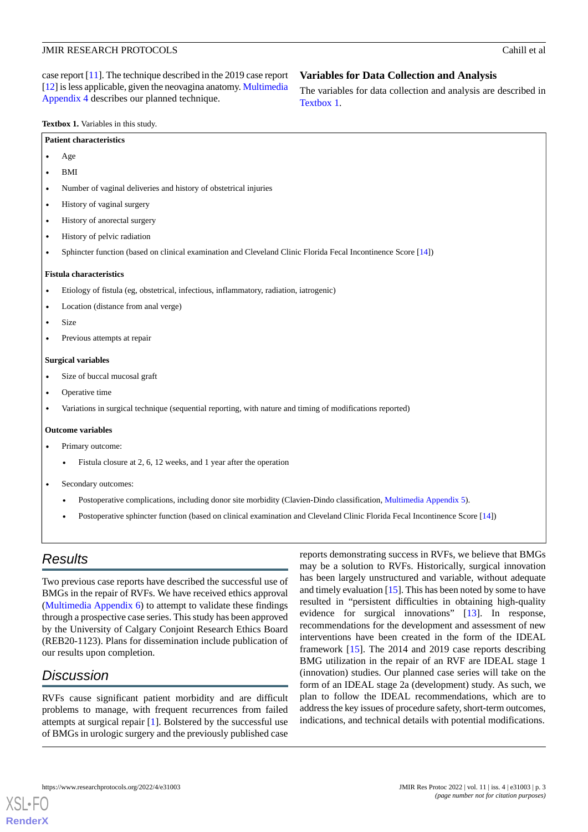case report [\[11\]](#page-4-1). The technique described in the 2019 case report [[12\]](#page-4-2) is less applicable, given the neovagina anatomy. [Multimedia](#page-3-9) [Appendix 4](#page-3-9) describes our planned technique.

## **Variables for Data Collection and Analysis**

The variables for data collection and analysis are described in [Textbox 1.](#page-2-0)

#### <span id="page-2-0"></span>**Textbox 1.** Variables in this study.

#### **Patient characteristics**

- Age
- BMI
- Number of vaginal deliveries and history of obstetrical injuries
- History of vaginal surgery
- History of anorectal surgery
- History of pelvic radiation
- Sphincter function (based on clinical examination and Cleveland Clinic Florida Fecal Incontinence Score [[14](#page-4-4)])

#### **Fistula characteristics**

- Etiology of fistula (eg, obstetrical, infectious, inflammatory, radiation, iatrogenic)
- Location (distance from anal verge)
- Size
- Previous attempts at repair

#### **Surgical variables**

- Size of buccal mucosal graft
- Operative time
- Variations in surgical technique (sequential reporting, with nature and timing of modifications reported)

#### **Outcome variables**

- Primary outcome:
	- Fistula closure at 2, 6, 12 weeks, and 1 year after the operation
- Secondary outcomes:
	- Postoperative complications, including donor site morbidity (Clavien-Dindo classification, [Multimedia Appendix 5](#page-3-10)).
	- Postoperative sphincter function (based on clinical examination and Cleveland Clinic Florida Fecal Incontinence Score [[14](#page-4-4)])

## *Results*

Two previous case reports have described the successful use of BMGs in the repair of RVFs. We have received ethics approval ([Multimedia Appendix 6](#page-3-11)) to attempt to validate these findings through a prospective case series. This study has been approved by the University of Calgary Conjoint Research Ethics Board (REB20-1123). Plans for dissemination include publication of our results upon completion.

## *Discussion*

RVFs cause significant patient morbidity and are difficult problems to manage, with frequent recurrences from failed attempts at surgical repair [\[1\]](#page-3-0). Bolstered by the successful use of BMGs in urologic surgery and the previously published case

reports demonstrating success in RVFs, we believe that BMGs may be a solution to RVFs. Historically, surgical innovation has been largely unstructured and variable, without adequate and timely evaluation [\[15\]](#page-4-5). This has been noted by some to have resulted in "persistent difficulties in obtaining high-quality evidence for surgical innovations" [[13\]](#page-4-3). In response, recommendations for the development and assessment of new interventions have been created in the form of the IDEAL framework [\[15](#page-4-5)]. The 2014 and 2019 case reports describing BMG utilization in the repair of an RVF are IDEAL stage 1 (innovation) studies. Our planned case series will take on the form of an IDEAL stage 2a (development) study. As such, we plan to follow the IDEAL recommendations, which are to address the key issues of procedure safety, short-term outcomes, indications, and technical details with potential modifications.

[XSL](http://www.w3.org/Style/XSL)•FO

**[RenderX](http://www.renderx.com/)**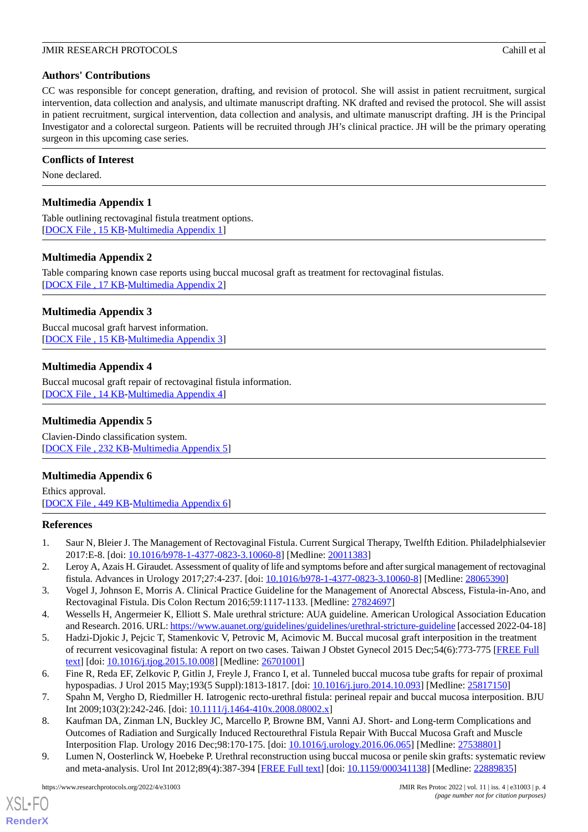## **Authors' Contributions**

CC was responsible for concept generation, drafting, and revision of protocol. She will assist in patient recruitment, surgical intervention, data collection and analysis, and ultimate manuscript drafting. NK drafted and revised the protocol. She will assist in patient recruitment, surgical intervention, data collection and analysis, and ultimate manuscript drafting. JH is the Principal Investigator and a colorectal surgeon. Patients will be recruited through JH's clinical practice. JH will be the primary operating surgeon in this upcoming case series.

## **Conflicts of Interest**

<span id="page-3-2"></span>None declared.

## **Multimedia Appendix 1**

<span id="page-3-7"></span>Table outlining rectovaginal fistula treatment options. [[DOCX File , 15 KB](https://jmir.org/api/download?alt_name=resprot_v11i4e31003_app1.docx&filename=18915c8c528498c69b0cafa5af5f2583.docx)-[Multimedia Appendix 1\]](https://jmir.org/api/download?alt_name=resprot_v11i4e31003_app1.docx&filename=18915c8c528498c69b0cafa5af5f2583.docx)

## **Multimedia Appendix 2**

<span id="page-3-8"></span>Table comparing known case reports using buccal mucosal graft as treatment for rectovaginal fistulas. [[DOCX File , 17 KB](https://jmir.org/api/download?alt_name=resprot_v11i4e31003_app2.docx&filename=d49d5abfddd5b9f7e0a8eb108454ccd2.docx)-[Multimedia Appendix 2\]](https://jmir.org/api/download?alt_name=resprot_v11i4e31003_app2.docx&filename=d49d5abfddd5b9f7e0a8eb108454ccd2.docx)

## **Multimedia Appendix 3**

<span id="page-3-9"></span>Buccal mucosal graft harvest information. [[DOCX File , 15 KB](https://jmir.org/api/download?alt_name=resprot_v11i4e31003_app3.docx&filename=62c3cf4551cee751eabba86c24d23ac4.docx)-[Multimedia Appendix 3\]](https://jmir.org/api/download?alt_name=resprot_v11i4e31003_app3.docx&filename=62c3cf4551cee751eabba86c24d23ac4.docx)

## **Multimedia Appendix 4**

<span id="page-3-10"></span>Buccal mucosal graft repair of rectovaginal fistula information. [[DOCX File , 14 KB](https://jmir.org/api/download?alt_name=resprot_v11i4e31003_app4.docx&filename=af7763ef343c10dc181189e0e5a5c044.docx)-[Multimedia Appendix 4\]](https://jmir.org/api/download?alt_name=resprot_v11i4e31003_app4.docx&filename=af7763ef343c10dc181189e0e5a5c044.docx)

## **Multimedia Appendix 5**

<span id="page-3-11"></span>Clavien-Dindo classification system. [[DOCX File , 232 KB-Multimedia Appendix 5\]](https://jmir.org/api/download?alt_name=resprot_v11i4e31003_app5.docx&filename=a4cfbe9babffdb4a5ccaf5256fc61f76.docx)

## **Multimedia Appendix 6**

<span id="page-3-0"></span>Ethics approval. [[DOCX File , 449 KB-Multimedia Appendix 6\]](https://jmir.org/api/download?alt_name=resprot_v11i4e31003_app6.docx&filename=ad9ddc7f6d695baef6a67a6022003ea9.docx)

## <span id="page-3-3"></span><span id="page-3-1"></span>**References**

- <span id="page-3-4"></span>1. Saur N, Bleier J. The Management of Rectovaginal Fistula. Current Surgical Therapy, Twelfth Edition. Philadelphialsevier 2017:E-8. [doi: [10.1016/b978-1-4377-0823-3.10060-8\]](http://dx.doi.org/10.1016/b978-1-4377-0823-3.10060-8) [Medline: [20011383](http://www.ncbi.nlm.nih.gov/entrez/query.fcgi?cmd=Retrieve&db=PubMed&list_uids=20011383&dopt=Abstract)]
- 2. Leroy A, Azais H. Giraudet. Assessment of quality of life and symptoms before and after surgical management of rectovaginal fistula. Advances in Urology 2017;27:4-237. [doi: [10.1016/b978-1-4377-0823-3.10060-8\]](http://dx.doi.org/10.1016/b978-1-4377-0823-3.10060-8) [Medline: [28065390\]](http://www.ncbi.nlm.nih.gov/entrez/query.fcgi?cmd=Retrieve&db=PubMed&list_uids=28065390&dopt=Abstract)
- 3. Vogel J, Johnson E, Morris A. Clinical Practice Guideline for the Management of Anorectal Abscess, Fistula-in-Ano, and Rectovaginal Fistula. Dis Colon Rectum 2016;59:1117-1133. [Medline: [27824697](http://www.ncbi.nlm.nih.gov/entrez/query.fcgi?cmd=Retrieve&db=PubMed&list_uids=27824697&dopt=Abstract)]
- 4. Wessells H, Angermeier K, Elliott S. Male urethral stricture: AUA guideline. American Urological Association Education and Research. 2016. URL:<https://www.auanet.org/guidelines/guidelines/urethral-stricture-guideline> [accessed 2022-04-18]
- <span id="page-3-5"></span>5. Hadzi-Djokic J, Pejcic T, Stamenkovic V, Petrovic M, Acimovic M. Buccal mucosal graft interposition in the treatment of recurrent vesicovaginal fistula: A report on two cases. Taiwan J Obstet Gynecol 2015 Dec;54(6):773-775 [\[FREE Full](https://linkinghub.elsevier.com/retrieve/pii/S1028-4559(15)00240-5) [text](https://linkinghub.elsevier.com/retrieve/pii/S1028-4559(15)00240-5)] [doi: [10.1016/j.tjog.2015.10.008](http://dx.doi.org/10.1016/j.tjog.2015.10.008)] [Medline: [26701001\]](http://www.ncbi.nlm.nih.gov/entrez/query.fcgi?cmd=Retrieve&db=PubMed&list_uids=26701001&dopt=Abstract)
- <span id="page-3-6"></span>6. Fine R, Reda EF, Zelkovic P, Gitlin J, Freyle J, Franco I, et al. Tunneled buccal mucosa tube grafts for repair of proximal hypospadias. J Urol 2015 May;193(5 Suppl):1813-1817. [doi: [10.1016/j.juro.2014.10.093\]](http://dx.doi.org/10.1016/j.juro.2014.10.093) [Medline: [25817150\]](http://www.ncbi.nlm.nih.gov/entrez/query.fcgi?cmd=Retrieve&db=PubMed&list_uids=25817150&dopt=Abstract)
- 7. Spahn M, Vergho D, Riedmiller H. Iatrogenic recto-urethral fistula: perineal repair and buccal mucosa interposition. BJU Int 2009;103(2):242-246. [doi: [10.1111/j.1464-410x.2008.08002.x\]](http://dx.doi.org/10.1111/j.1464-410x.2008.08002.x)
- 8. Kaufman DA, Zinman LN, Buckley JC, Marcello P, Browne BM, Vanni AJ. Short- and Long-term Complications and Outcomes of Radiation and Surgically Induced Rectourethral Fistula Repair With Buccal Mucosa Graft and Muscle Interposition Flap. Urology 2016 Dec;98:170-175. [doi: [10.1016/j.urology.2016.06.065](http://dx.doi.org/10.1016/j.urology.2016.06.065)] [Medline: [27538801\]](http://www.ncbi.nlm.nih.gov/entrez/query.fcgi?cmd=Retrieve&db=PubMed&list_uids=27538801&dopt=Abstract)
- 9. Lumen N, Oosterlinck W, Hoebeke P. Urethral reconstruction using buccal mucosa or penile skin grafts: systematic review and meta-analysis. Urol Int 2012;89(4):387-394 [\[FREE Full text\]](https://www.karger.com?DOI=10.1159/000341138) [doi: [10.1159/000341138](http://dx.doi.org/10.1159/000341138)] [Medline: [22889835\]](http://www.ncbi.nlm.nih.gov/entrez/query.fcgi?cmd=Retrieve&db=PubMed&list_uids=22889835&dopt=Abstract)

[XSL](http://www.w3.org/Style/XSL)•FO **[RenderX](http://www.renderx.com/)**